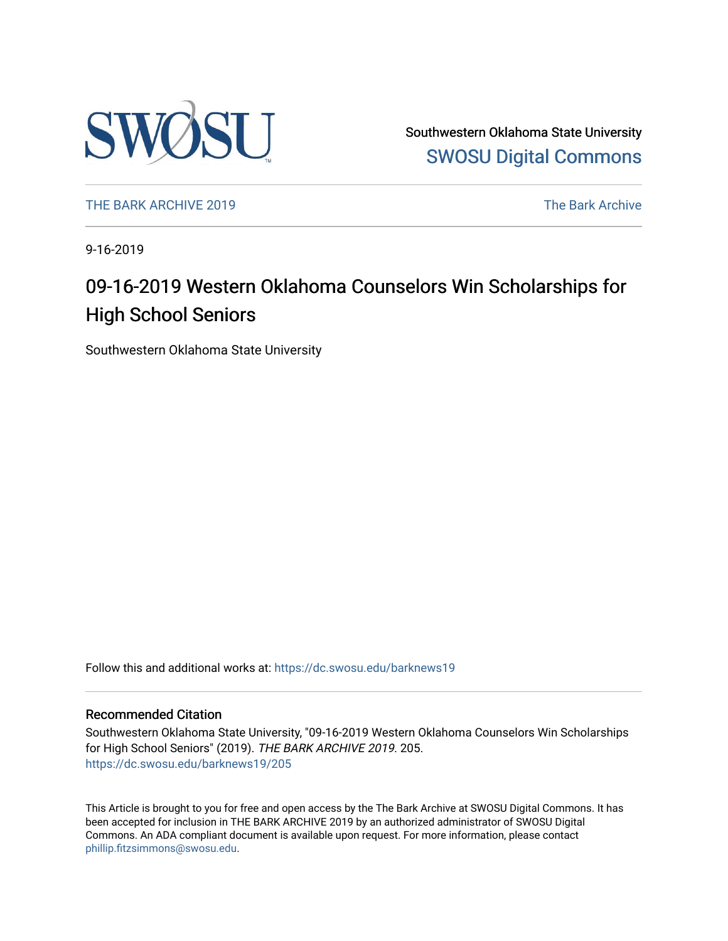

Southwestern Oklahoma State University [SWOSU Digital Commons](https://dc.swosu.edu/) 

[THE BARK ARCHIVE 2019](https://dc.swosu.edu/barknews19) The Bark Archive

9-16-2019

### 09-16-2019 Western Oklahoma Counselors Win Scholarships for High School Seniors

Southwestern Oklahoma State University

Follow this and additional works at: [https://dc.swosu.edu/barknews19](https://dc.swosu.edu/barknews19?utm_source=dc.swosu.edu%2Fbarknews19%2F205&utm_medium=PDF&utm_campaign=PDFCoverPages)

#### Recommended Citation

Southwestern Oklahoma State University, "09-16-2019 Western Oklahoma Counselors Win Scholarships for High School Seniors" (2019). THE BARK ARCHIVE 2019. 205. [https://dc.swosu.edu/barknews19/205](https://dc.swosu.edu/barknews19/205?utm_source=dc.swosu.edu%2Fbarknews19%2F205&utm_medium=PDF&utm_campaign=PDFCoverPages)

This Article is brought to you for free and open access by the The Bark Archive at SWOSU Digital Commons. It has been accepted for inclusion in THE BARK ARCHIVE 2019 by an authorized administrator of SWOSU Digital Commons. An ADA compliant document is available upon request. For more information, please contact [phillip.fitzsimmons@swosu.edu](mailto:phillip.fitzsimmons@swosu.edu).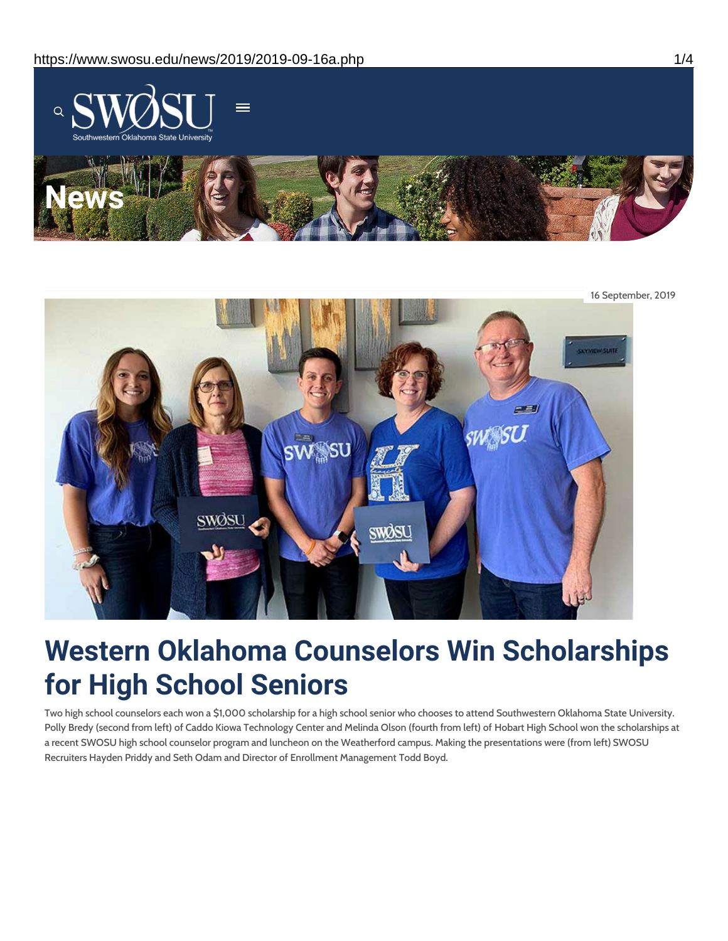



# **Western Oklahoma Counselors Win Scholarships for High School Seniors**

Two high school counselors each won a \$1,000 scholarship for a high school senior who chooses to attend Southwestern Oklahoma State University. Polly Bredy (second from left) of Caddo Kiowa Technology Center and Melinda Olson (fourth from left) of Hobart High School won the scholarships at a recent SWOSU high school counselor program and luncheon on the Weatherford campus. Making the presentations were (from left) SWOSU Recruiters Hayden Priddy and Seth Odam and Director of Enrollment Management Todd Boyd.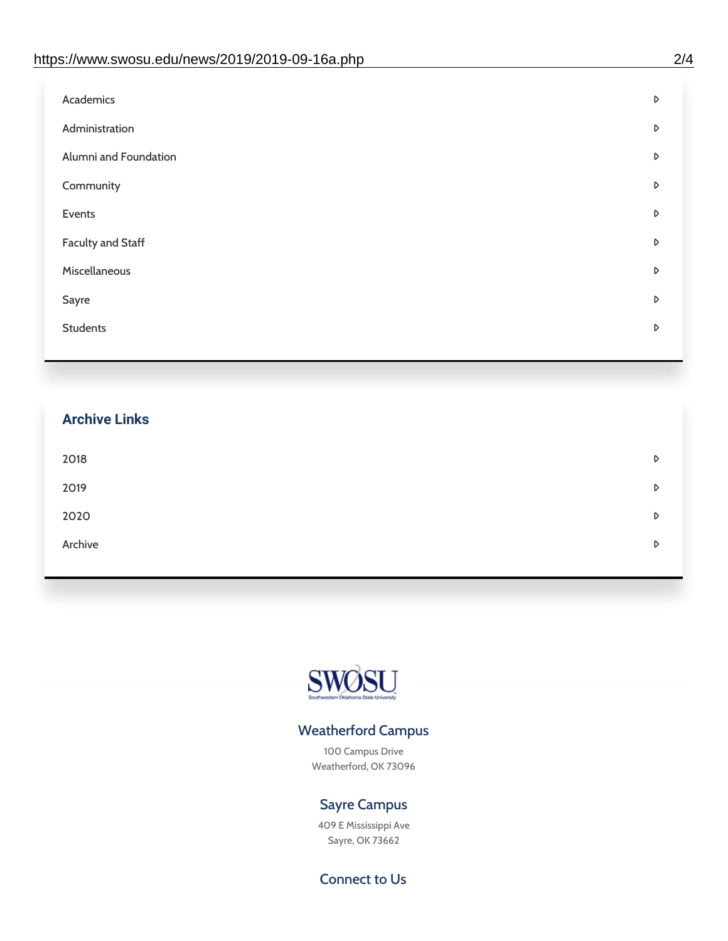| Administration<br>D<br>Alumni and Foundation<br>D<br>Community<br>D<br>Events<br>D | Academics | D |
|------------------------------------------------------------------------------------|-----------|---|
|                                                                                    |           |   |
|                                                                                    |           |   |
|                                                                                    |           |   |
|                                                                                    |           |   |
| <b>Faculty and Staff</b><br>D                                                      |           |   |
| Miscellaneous<br>D                                                                 |           |   |
| Sayre<br>D                                                                         |           |   |
| <b>Students</b><br>D                                                               |           |   |

## **Archive Links**  $2018$  $2019$ [2020](https://www.swosu.edu/news/2020/index.php)  $\bullet$ [Archive](https://dc.swosu.edu/bark/) **Archive Archive Archive Archive Archive** Archive Archive Archive Archive Archive Archive Archive Archive



### Weatherford Campus

100 Campus Drive Weatherford, OK 73096

### Sayre Campus

409 E Mississippi Ave Sayre, OK 73662

Connect to Us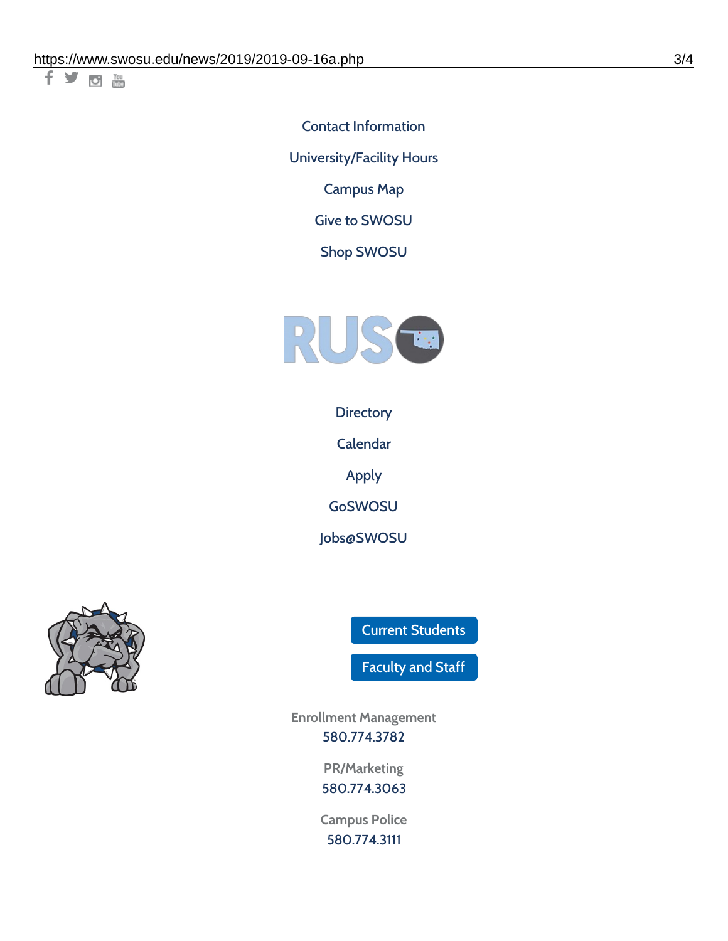千岁回调

Contact [Information](https://www.swosu.edu/about/contact.php) [University/Facility](https://www.swosu.edu/about/operating-hours.php) Hours [Campus](https://map.concept3d.com/?id=768#!ct/10964,10214,10213,10212,10205,10204,10203,10202,10136,10129,10128,0,31226,10130,10201,10641,0) Map

Give to [SWOSU](https://standingfirmly.com/donate)

Shop [SWOSU](https://shopswosu.merchorders.com/)



**[Directory](https://www.swosu.edu/directory/index.php)** 

[Calendar](https://eventpublisher.dudesolutions.com/swosu/)

[Apply](https://www.swosu.edu/admissions/apply-to-swosu.php)

[GoSWOSU](https://qlsso.quicklaunchsso.com/home/1267)

[Jobs@SWOSU](https://swosu.csod.com/ux/ats/careersite/1/home?c=swosu)



Current [Students](https://bulldog.swosu.edu/index.php)

[Faculty](https://bulldog.swosu.edu/faculty-staff/index.php) and Staff

**Enrollment Management** [580.774.3782](tel:5807743782)

> **PR/Marketing** [580.774.3063](tel:5807743063)

**Campus Police** [580.774.3111](tel:5807743111)